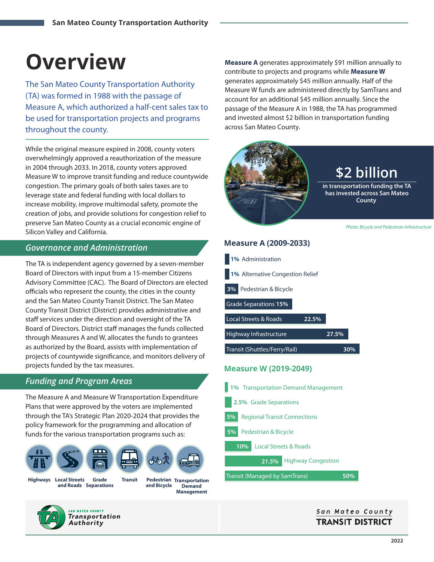# **Overview**

The San Mateo County Transportation Authority (TA) was formed in 1988 with the passage of Measure A, which authorized a half-cent sales tax to be used for transportation projects and programs throughout the county.

While the original measure expired in 2008, county voters overwhelmingly approved a reauthorization of the measure in 2004 through 2033. In 2018, county voters approved Measure W to improve transit funding and reduce countywide congestion. The primary goals of both sales taxes are to leverage state and federal funding with local dollars to increase mobility, improve multimodal safety, promote the creation of jobs, and provide solutions for congestion relief to preserve San Mateo County as a crucial economic engine of Silicon Valley and California.

#### *Governance and Administration*

The TA is independent agency governed by a seven-member Board of Directors with input from a 15-member Citizens Advisory Committee (CAC). The Board of Directors are elected officials who represent the county, the cities in the county and the San Mateo County Transit District. The San Mateo County Transit District (District) provides administrative and staff services under the direction and oversight of the TA Board of Directors. District staff manages the funds collected through Measures A and W, allocates the funds to grantees as authorized by the Board, assists with implementation of projects of countywide significance, and monitors delivery of projects funded by the tax measures.

#### *Funding and Program Areas*

The Measure A and Measure W Transportation Expenditure Plans that were approved by the voters are implemented through the TA's Strategic Plan 2020-2024 that provides the policy framework for the programming and allocation of funds for the various transportation programs such as:



**Grade Transit** and Roads Separations **Highways Local Streets** 

**Transportation Pedestrian Demand Management and Bicycle** 



**Measure A** generates approximately \$91 million annually to contribute to projects and programs while **Measure W** generates approximately \$45 million annually. Half of the Measure W funds are administered directly by SamTrans and account for an additional \$45 million annually. Since the passage of the Measure A in 1988, the TA has programmed and invested almost \$2 billion in transportation funding across San Mateo County.



Highway Infrastructure Local Streets & Roads **27.5% 22.5%**

Transit (Shuttles/Ferry/Rail)

#### **Measure W (2019-2049)**

Local Streets & Roads Pedestrian & Bicycle Regional Transit Connections 2.5% Grade Separations **10% 5% 5% 1%** Transportation Demand Management

**21.5%** Highway Congestion

Transit (Managed by SamTrans)

**50%**

#### San Mateo County **TRANSIT DISTRICT**

**30%**